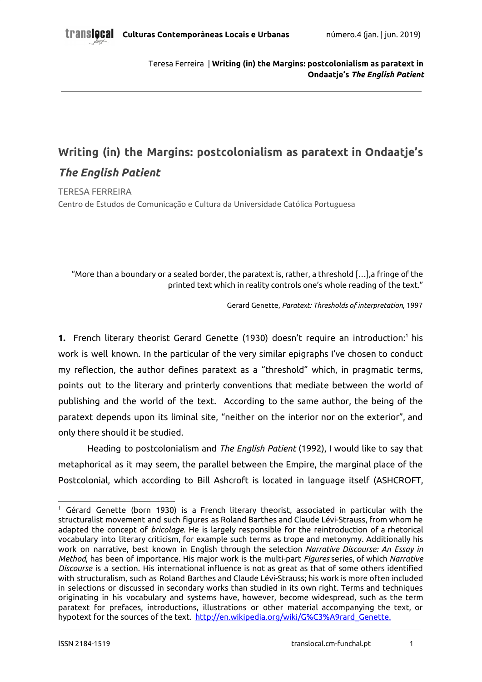# **Writing (in) the Margins: postcolonialism as paratext in Ondaatje's** *The English Patient*

TERESA FERREIRA Centro de Estudos de Comunicação e Cultura da Universidade Católica Portuguesa

"More than a boundary or a sealed border, the paratext is, rather, a threshold […],a fringe of the printed text which in reality controls one's whole reading of the text."

Gerard Genette, *Paratext: Thresholds of interpretation*, 1997

**1.** French literary theorist Gerard Genette (1930) doesn't require an introduction:<sup>1</sup> his work is well known. In the particular of the very similar epigraphs I've chosen to conduct my reflection, the author defines paratext as a "threshold" which, in pragmatic terms, points out to the literary and printerly conventions that mediate between the world of publishing and the world of the text. According to the same author, the being of the paratext depends upon its liminal site, "neither on the interior nor on the exterior", and only there should it be studied.

Heading to postcolonialism and *The English Patient* (1992), I would like to say that metaphorical as it may seem, the parallel between the Empire, the marginal place of the Postcolonial, which according to Bill Ashcroft is located in language itself (ASHCROFT,

<sup>1</sup> Gérard Genette (born 1930) is a French literary theorist, associated in particular with the structuralist movement and such figures as Roland Barthes and Claude Lévi-Strauss, from whom he adapted the concept of *bricolage*. He is largely responsible for the reintroduction of a rhetorical vocabulary into literary criticism, for example such terms as trope and metonymy. Additionally his work on narrative, best known in English through the selection *Narrative Discourse: An Essay in Method*, has been of importance. His major work is the multi-part *Figures* series, of which *Narrative Discourse* is a section. His international influence is not as great as that of some others identified with structuralism, such as Roland Barthes and Claude Lévi-Strauss; his work is more often included in selections or discussed in secondary works than studied in its own right. Terms and techniques originating in his vocabulary and systems have, however, become widespread, such as the term paratext for prefaces, introductions, illustrations or other material accompanying the text, or hypotext for the sources of the text. http://en.wikipedia.org/wiki/G%C3%A9rard\_Genette.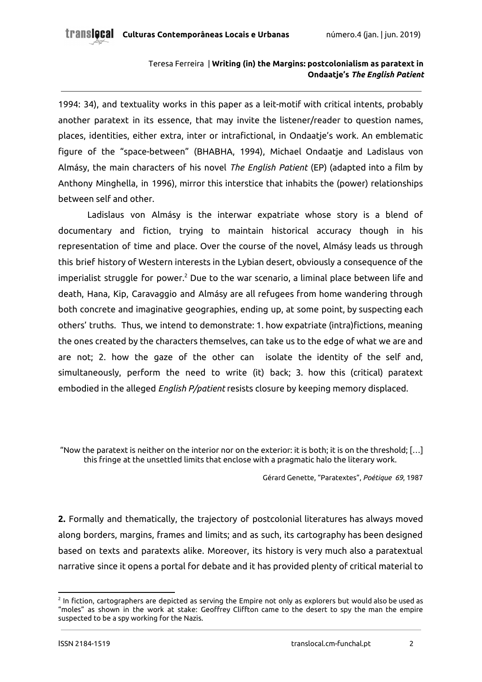1994: 34), and textuality works in this paper as a leit-motif with critical intents, probably another paratext in its essence, that may invite the listener/reader to question names, places, identities, either extra, inter or intrafictional, in Ondaatje's work. An emblematic figure of the "space-between" (BHABHA, 1994), Michael Ondaatje and Ladislaus von Almásy, the main characters of his novel *The English Patient* (EP) (adapted into a film by Anthony Minghella, in 1996), mirror this interstice that inhabits the (power) relationships between self and other.

Ladislaus von Almásy is the interwar expatriate whose story is a blend of documentary and fiction, trying to maintain historical accuracy though in his representation of time and place. Over the course of the novel, Almásy leads us through this brief history of Western interests in the Lybian desert, obviously a consequence of the imperialist struggle for power. $^2$  Due to the war scenario, a liminal place between life and death, Hana, Kip, Caravaggio and Almásy are all refugees from home wandering through both concrete and imaginative geographies, ending up, at some point, by suspecting each others' truths. Thus, we intend to demonstrate: 1. how expatriate (intra)fictions, meaning the ones created by the characters themselves, can take us to the edge of what we are and are not; 2. how the gaze of the other can isolate the identity of the self and, simultaneously, perform the need to write (it) back; 3. how this (critical) paratext embodied in the alleged *English P/patient* resists closure by keeping memory displaced.

"Now the paratext is neither on the interior nor on the exterior: it is both; it is on the threshold; […] this fringe at the unsettled limits that enclose with a pragmatic halo the literary work.

Gérard Genette, "Paratextes", *Poétique 69*, 1987

**2.** Formally and thematically, the trajectory of postcolonial literatures has always moved along borders, margins, frames and limits; and as such, its cartography has been designed based on texts and paratexts alike. Moreover, its history is very much also a paratextual narrative since it opens a portal for debate and it has provided plenty of critical material to

 $^2$  In fiction, cartographers are depicted as serving the Empire not only as explorers but would also be used as "moles" as shown in the work at stake: Geoffrey Cliffton came to the desert to spy the man the empire suspected to be a spy working for the Nazis.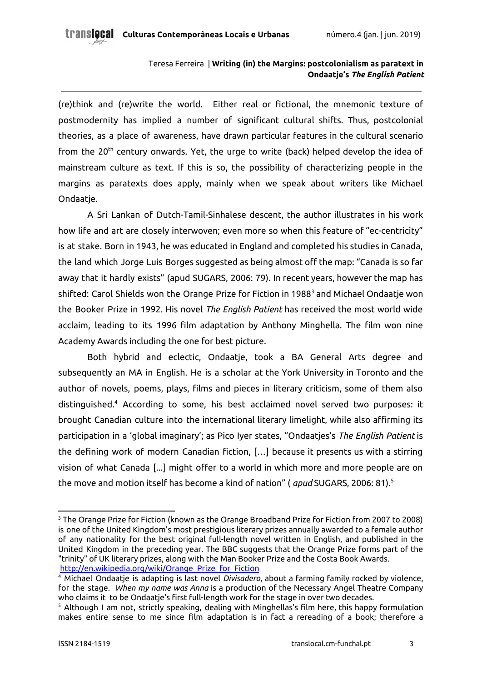(re)think and (re)write the world. Either real or fictional, the mnemonic texture of postmodernity has implied a number of significant cultural shifts. Thus, postcolonial theories, as a place of awareness, have drawn particular features in the cultural scenario from the 20<sup>th</sup> century onwards. Yet, the urge to write (back) helped develop the idea of mainstream culture as text. If this is so, the possibility of characterizing people in the margins as paratexts does apply, mainly when we speak about writers like Michael Ondaatje.

A Sri Lankan of Dutch-Tamil-Sinhalese descent, the author illustrates in his work how life and art are closely interwoven; even more so when this feature of "ec-centricity" is at stake. Born in 1943, he was educated in England and completed his studies in Canada, the land which Jorge Luis Borges suggested as being almost off the map: "Canada is so far away that it hardly exists" (apud SUGARS, 2006: 79). In recent years, however the map has shifted: Carol Shields won the Orange Prize for Fiction in 1988<sup>3</sup> and Michael Ondaatje won the Booker Prize in 1992. His novel *The English Patient* has received the most world wide acclaim, leading to its 1996 film adaptation by Anthony Minghella. The film won nine Academy Awards including the one for best picture.

Both hybrid and eclectic, Ondaatje, took a BA General Arts degree and subsequently an MA in English. He is a scholar at the York University in Toronto and the author of novels, poems, plays, films and pieces in literary criticism, some of them also distinguished.<sup>4</sup> According to some, his best acclaimed novel served two purposes: it brought Canadian culture into the international literary limelight, while also affirming its participation in a 'global imaginary'; as Pico Iyer states, "Ondaatjes's *The English Patient* is the defining work of modern Canadian fiction, […] because it presents us with a stirring vision of what Canada [...] might offer to a world in which more and more people are on the move and motion itself has become a kind of nation" ( *apud* SUGARS, 2006: 81). 5

<sup>3</sup> The Orange Prize for Fiction (known as the Orange Broadband Prize for Fiction from 2007 to 2008) is one of the United Kingdom's most prestigious literary prizes annually awarded to a female author of any nationality for the best original full-length novel written in English, and published in the United Kingdom in the preceding year. The BBC suggests that the Orange Prize forms part of the "trinity" of UK literary prizes, along with the Man Booker Prize and the Costa Book Awards. http://en.wikipedia.org/wiki/Orange\_Prize\_for\_Fiction

<sup>4</sup> Michael Ondaatje is adapting is last novel *Divisadero*, about a farming family rocked by violence, for the stage. *When my name was Anna* is a production of the Necessary Angel Theatre Company who claims it to be Ondaatje's first full-length work for the stage in over two decades.

<sup>&</sup>lt;sup>5</sup> Although I am not, strictly speaking, dealing with Minghellas's film here, this happy formulation makes entire sense to me since film adaptation is in fact a rereading of a book; therefore a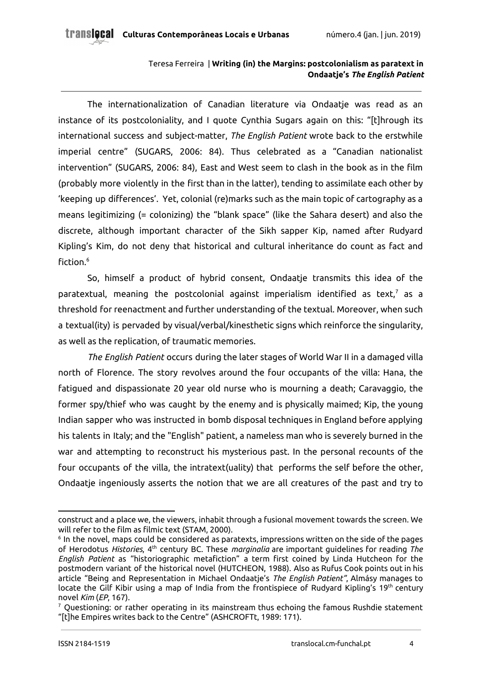The internationalization of Canadian literature via Ondaatje was read as an instance of its postcoloniality, and I quote Cynthia Sugars again on this: "[t]hrough its international success and subject-matter, *The English Patient* wrote back to the erstwhile imperial centre" (SUGARS, 2006: 84). Thus celebrated as a "Canadian nationalist intervention" (SUGARS, 2006: 84), East and West seem to clash in the book as in the film (probably more violently in the first than in the latter), tending to assimilate each other by 'keeping up differences'. Yet, colonial (re)marks such as the main topic of cartography as a means legitimizing (= colonizing) the "blank space" (like the Sahara desert) and also the discrete, although important character of the Sikh sapper Kip, named after Rudyard Kipling's Kim, do not deny that historical and cultural inheritance do count as fact and fiction. 6

So, himself a product of hybrid consent, Ondaatje transmits this idea of the paratextual, meaning the postcolonial against imperialism identified as text, $^7$  as a threshold for reenactment and further understanding of the textual. Moreover, when such a textual(ity) is pervaded by visual/verbal/kinesthetic signs which reinforce the singularity, as well as the replication, of traumatic memories.

*The English Patient* occurs during the later stages of World War II in a damaged villa north of Florence. The story revolves around the four occupants of the villa: Hana, the fatigued and dispassionate 20 year old nurse who is mourning a death; Caravaggio, the former spy/thief who was caught by the enemy and is physically maimed; Kip, the young Indian sapper who was instructed in bomb disposal techniques in England before applying his talents in Italy; and the "English" patient, a nameless man who is severely burned in the war and attempting to reconstruct his mysterious past. In the personal recounts of the four occupants of the villa, the intratext(uality) that performs the self before the other, Ondaatje ingeniously asserts the notion that we are all creatures of the past and try to

construct and a place we, the viewers, inhabit through a fusional movement towards the screen. We will refer to the film as filmic text (STAM, 2000).

 $^{\rm 6}$  In the novel, maps could be considered as paratexts, impressions written on the side of the pages of Herodotus *Histories*, 4 th century BC. These *marginalia* are important guidelines for reading *The English Patient* as "historiographic metafiction" a term first coined by Linda Hutcheon for the postmodern variant of the historical novel (HUTCHEON, 1988). Also as Rufus Cook points out in his article "Being and Representation in Michael Ondaatje's *The English Patient"*, Almásy manages to locate the Gilf Kibir using a map of India from the frontispiece of Rudyard Kipling's 19th century novel *Kim* (*EP*, 167).

 $7$  Questioning: or rather operating in its mainstream thus echoing the famous Rushdie statement "[t]he Empires writes back to the Centre" (ASHCROFTt, 1989: 171).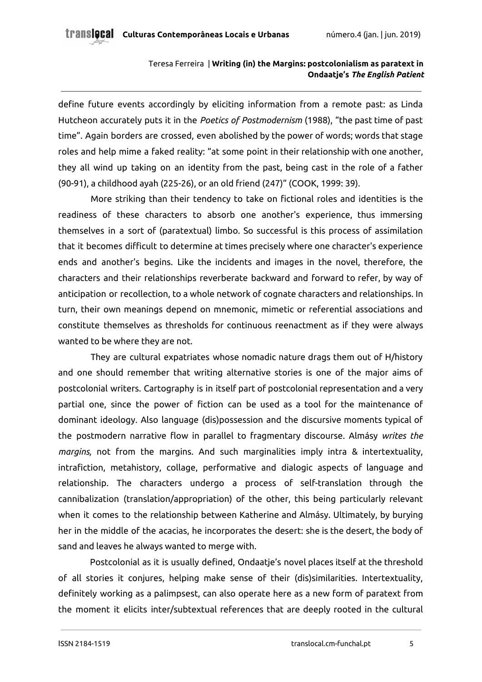define future events accordingly by eliciting information from a remote past: as Linda Hutcheon accurately puts it in the *Poetics of Postmodernism* (1988), "the past time of past time". Again borders are crossed, even abolished by the power of words; words that stage roles and help mime a faked reality: "at some point in their relationship with one another, they all wind up taking on an identity from the past, being cast in the role of a father (90-91), a childhood ayah (225-26), or an old friend (247)" (COOK, 1999: 39).

More striking than their tendency to take on fictional roles and identities is the readiness of these characters to absorb one another's experience, thus immersing themselves in a sort of (paratextual) limbo. So successful is this process of assimilation that it becomes difficult to determine at times precisely where one character's experience ends and another's begins. Like the incidents and images in the novel, therefore, the characters and their relationships reverberate backward and forward to refer, by way of anticipation or recollection, to a whole network of cognate characters and relationships. In turn, their own meanings depend on mnemonic, mimetic or referential associations and constitute themselves as thresholds for continuous reenactment as if they were always wanted to be where they are not.

They are cultural expatriates whose nomadic nature drags them out of H/history and one should remember that writing alternative stories is one of the major aims of postcolonial writers. Cartography is in itself part of postcolonial representation and a very partial one, since the power of fiction can be used as a tool for the maintenance of dominant ideology. Also language (dis)possession and the discursive moments typical of the postmodern narrative flow in parallel to fragmentary discourse. Almásy *writes the margins,* not from the margins. And such marginalities imply intra & intertextuality, intrafiction, metahistory, collage, performative and dialogic aspects of language and relationship. The characters undergo a process of self-translation through the cannibalization (translation/appropriation) of the other, this being particularly relevant when it comes to the relationship between Katherine and Almásy. Ultimately, by burying her in the middle of the acacias, he incorporates the desert: she is the desert, the body of sand and leaves he always wanted to merge with.

Postcolonial as it is usually defined, Ondaatje's novel places itself at the threshold of all stories it conjures, helping make sense of their (dis)similarities. Intertextuality, definitely working as a palimpsest, can also operate here as a new form of paratext from the moment it elicits inter/subtextual references that are deeply rooted in the cultural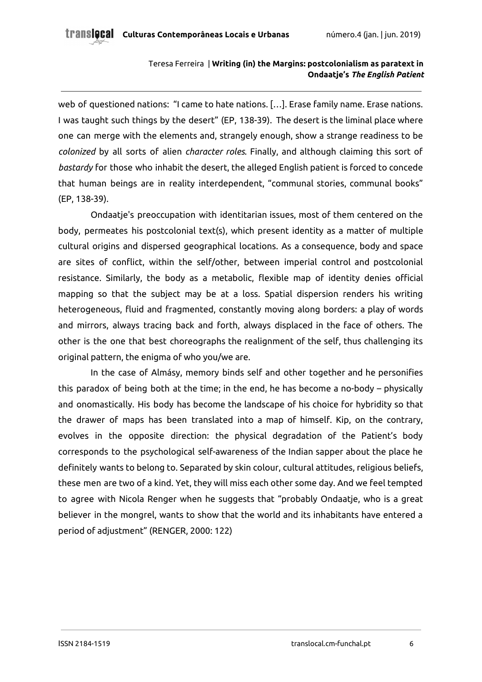web of questioned nations: "I came to hate nations. […]. Erase family name. Erase nations. I was taught such things by the desert" (EP, 138-39). The desert is the liminal place where one can merge with the elements and, strangely enough, show a strange readiness to be *colonized* by all sorts of alien *character roles*. Finally, and although claiming this sort of *bastardy* for those who inhabit the desert, the alleged English patient is forced to concede that human beings are in reality interdependent, "communal stories, communal books" (EP, 138-39).

Ondaatje's preoccupation with identitarian issues, most of them centered on the body, permeates his postcolonial text(s), which present identity as a matter of multiple cultural origins and dispersed geographical locations. As a consequence, body and space are sites of conflict, within the self/other, between imperial control and postcolonial resistance. Similarly, the body as a metabolic, flexible map of identity denies official mapping so that the subject may be at a loss. Spatial dispersion renders his writing heterogeneous, fluid and fragmented, constantly moving along borders: a play of words and mirrors, always tracing back and forth, always displaced in the face of others. The other is the one that best choreographs the realignment of the self, thus challenging its original pattern, the enigma of who you/we are.

In the case of Almásy, memory binds self and other together and he personifies this paradox of being both at the time; in the end, he has become a no-body – physically and onomastically. His body has become the landscape of his choice for hybridity so that the drawer of maps has been translated into a map of himself. Kip, on the contrary, evolves in the opposite direction: the physical degradation of the Patient's body corresponds to the psychological self-awareness of the Indian sapper about the place he definitely wants to belong to. Separated by skin colour, cultural attitudes, religious beliefs, these men are two of a kind. Yet, they will miss each other some day. And we feel tempted to agree with Nicola Renger when he suggests that "probably Ondaatje, who is a great believer in the mongrel, wants to show that the world and its inhabitants have entered a period of adjustment" (RENGER, 2000: 122)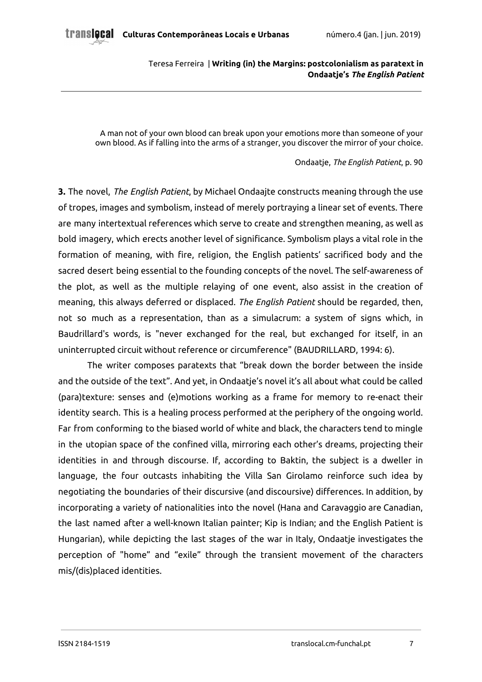A man not of your own blood can break upon your emotions more than someone of your own blood. As if falling into the arms of a stranger, you discover the mirror of your choice.

#### Ondaatje, *The English Patient*, p. 90

**3.** The novel, *The English Patient*, by Michael Ondaajte constructs meaning through the use of tropes, images and symbolism, instead of merely portraying a linear set of events. There are many intertextual references which serve to create and strengthen meaning, as well as bold imagery, which erects another level of significance. Symbolism plays a vital role in the formation of meaning, with fire, religion, the English patients' sacrificed body and the sacred desert being essential to the founding concepts of the novel. The self-awareness of the plot, as well as the multiple relaying of one event, also assist in the creation of meaning, this always deferred or displaced. *The English Patient* should be regarded, then, not so much as a representation, than as a simulacrum: a system of signs which, in Baudrillard's words, is "never exchanged for the real, but exchanged for itself, in an uninterrupted circuit without reference or circumference" (BAUDRILLARD, 1994: 6).

The writer composes paratexts that "break down the border between the inside and the outside of the text". And yet, in Ondaatje's novel it's all about what could be called (para)texture: senses and (e)motions working as a frame for memory to re-enact their identity search. This is a healing process performed at the periphery of the ongoing world. Far from conforming to the biased world of white and black, the characters tend to mingle in the utopian space of the confined villa, mirroring each other's dreams, projecting their identities in and through discourse. If, according to Baktin, the subject is a dweller in language, the four outcasts inhabiting the Villa San Girolamo reinforce such idea by negotiating the boundaries of their discursive (and discoursive) differences. In addition, by incorporating a variety of nationalities into the novel (Hana and Caravaggio are Canadian, the last named after a well-known Italian painter; Kip is Indian; and the English Patient is Hungarian), while depicting the last stages of the war in Italy, Ondaatje investigates the perception of "home" and "exile" through the transient movement of the characters mis/(dis)placed identities.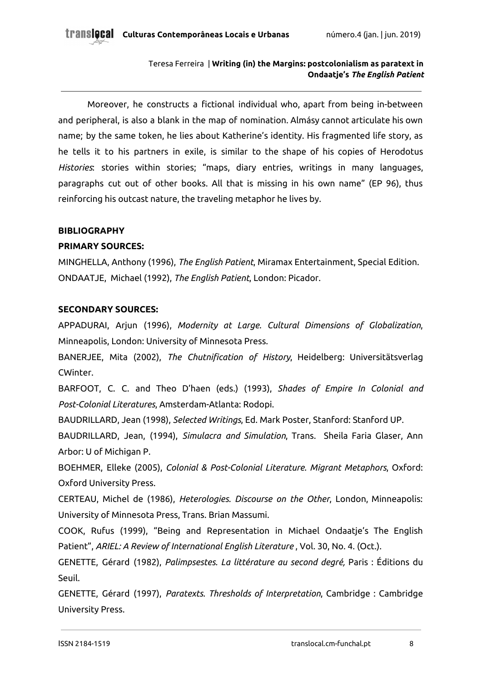Moreover, he constructs a fictional individual who, apart from being in-between and peripheral, is also a blank in the map of nomination. Almásy cannot articulate his own name; by the same token, he lies about Katherine's identity. His fragmented life story, as he tells it to his partners in exile, is similar to the shape of his copies of Herodotus *Histories*: stories within stories; "maps, diary entries, writings in many languages, paragraphs cut out of other books. All that is missing in his own name" (EP 96), thus reinforcing his outcast nature, the traveling metaphor he lives by.

## **BIBLIOGRAPHY**

# **PRIMARY SOURCES:**

MINGHELLA, Anthony (1996), *The English Patient*, Miramax Entertainment, Special Edition. ONDAATJE, Michael (1992), *The English Patient*, London: Picador.

## **SECONDARY SOURCES:**

APPADURAI, Arjun (1996), *Modernity at Large. Cultural Dimensions of Globalization*, Minneapolis, London: University of Minnesota Press.

BANERJEE, Mita (2002), *The Chutnification of History*, Heidelberg: Universitätsverlag CWinter.

BARFOOT, C. C. and Theo D'haen (eds.) (1993), *Shades of Empire In Colonial and Post-Colonial Literatures*, Amsterdam-Atlanta: Rodopi.

BAUDRILLARD, Jean (1998), *Selected Writings*, Ed. Mark Poster, Stanford: Stanford UP.

BAUDRILLARD, Jean, (1994), *Simulacra and Simulation*, Trans. Sheila Faria Glaser, Ann Arbor: U of Michigan P.

BOEHMER, Elleke (2005), *Colonial & Post-Colonial Literature. Migrant Metaphors*, Oxford: Oxford University Press.

CERTEAU, Michel de (1986), *Heterologies. Discourse on the Other*, London, Minneapolis: University of Minnesota Press, Trans. Brian Massumi.

COOK, Rufus (1999), "Being and Representation in Michael Ondaatje's The English Patient", *ARIEL: A Review of International English Literature* , Vol. 30, No. 4. (Oct.).

GENETTE, Gérard (1982), *Palimpsestes. La littérature au second degré,* Paris : Éditions du Seuil.

GENETTE, Gérard (1997), *Paratexts. Thresholds of Interpretation*, Cambridge : Cambridge University Press.